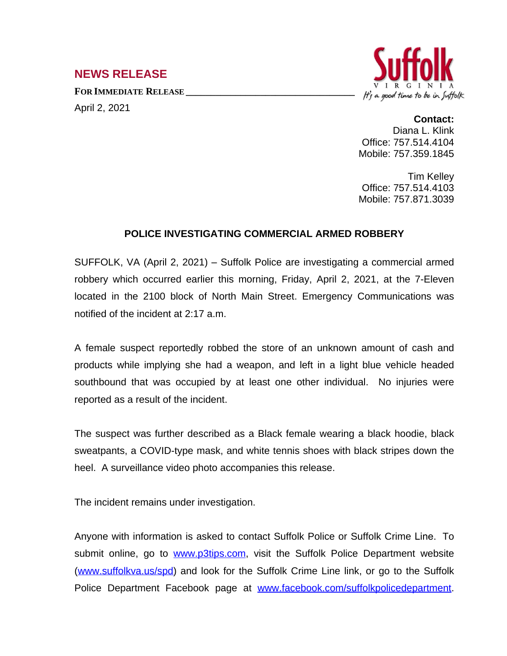## **NEWS RELEASE**

April 2, 2021

**FOR IMMEDIATE RELEASE \_\_\_\_\_\_\_\_\_\_\_\_\_\_\_\_\_\_\_\_\_\_\_\_\_\_\_\_\_\_\_\_\_\_**



## **Contact:**

Diana L. Klink Office: 757.514.4104 Mobile: 757.359.1845

Tim Kelley Office: 757.514.4103 Mobile: 757.871.3039

## **POLICE INVESTIGATING COMMERCIAL ARMED ROBBERY**

SUFFOLK, VA (April 2, 2021) – Suffolk Police are investigating a commercial armed robbery which occurred earlier this morning, Friday, April 2, 2021, at the 7-Eleven located in the 2100 block of North Main Street. Emergency Communications was notified of the incident at 2:17 a.m.

A female suspect reportedly robbed the store of an unknown amount of cash and products while implying she had a weapon, and left in a light blue vehicle headed southbound that was occupied by at least one other individual. No injuries were reported as a result of the incident.

The suspect was further described as a Black female wearing a black hoodie, black sweatpants, a COVID-type mask, and white tennis shoes with black stripes down the heel. A surveillance video photo accompanies this release.

The incident remains under investigation.

Anyone with information is asked to contact Suffolk Police or Suffolk Crime Line. To submit online, go to [www.p3tips.com,](http://www.p3tips.com) visit the Suffolk Police Department website ([www.suffolkva.us/spd](http://www.suffolkva.us/spd)) and look for the Suffolk Crime Line link, or go to the Suffolk Police Department Facebook page at [www.facebook.com/suffolkpolicedepartment](http://www.facebook.com/suffolkpolicedepartment).